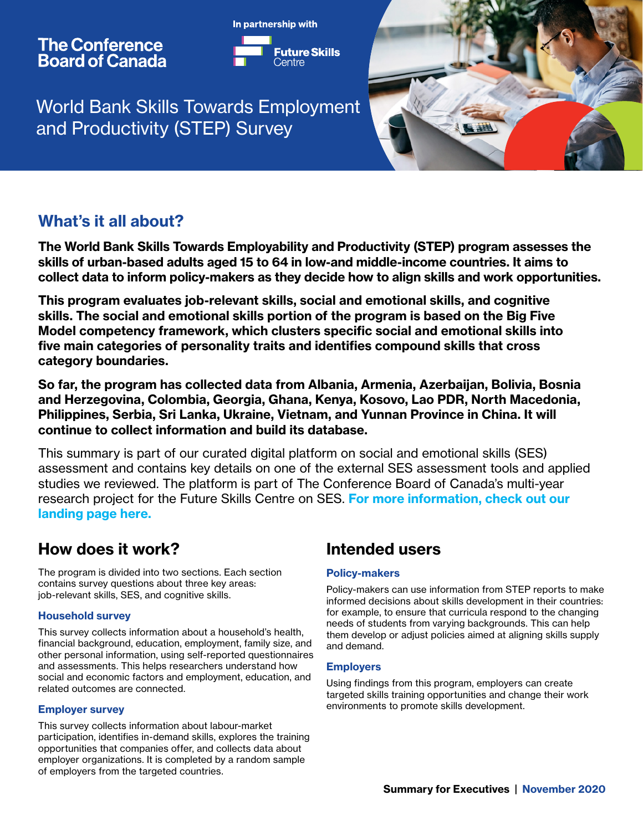## **The Conference Board of Canada**



World Bank Skills Towards Employment and Productivity (STEP) Survey



## What's it all about?

The World Bank Skills Towards Employability and Productivity (STEP) program assesses the skills of urban-based adults aged 15 to 64 in low-and middle-income countries. It aims to collect data to inform policy-makers as they decide how to align skills and work opportunities.

This program evaluates job-relevant skills, social and emotional skills, and cognitive skills. The social and emotional skills portion of the program is based on the Big Five Model competency framework, which clusters specific social and emotional skills into five main categories of personality traits and identifies compound skills that cross category boundaries.

So far, the program has collected data from Albania, Armenia, Azerbaijan, Bolivia, Bosnia and Herzegovina, Colombia, Georgia, Ghana, Kenya, Kosovo, Lao PDR, North Macedonia, Philippines, Serbia, Sri Lanka, Ukraine, Vietnam, and Yunnan Province in China. It will continue to collect information and build its database.

This summary is part of our curated digital platform on social and emotional skills (SES) assessment and contains key details on one of the external SES assessment tools and applied studies we reviewed. The platform is part of The Conference Board of Canada's multi-year research project for the Future Skills Centre on SES. For more information, check out our [landing page here.](https://www.conferenceboard.ca/focus-areas/education-skills/future-skills/measuring-social-and-emotional-skills)

# How does it work?

The program is divided into two sections. Each section contains survey questions about three key areas: job-relevant skills, SES, and cognitive skills.

## Household survey

This survey collects information about a household's health, financial background, education, employment, family size, and other personal information, using self-reported questionnaires and assessments. This helps researchers understand how social and economic factors and employment, education, and related outcomes are connected.

## Employer survey

This survey collects information about labour-market participation, identifies in-demand skills, explores the training opportunities that companies offer, and collects data about employer organizations. It is completed by a random sample of employers from the targeted countries.

## Intended users

### Policy-makers

Policy-makers can use information from STEP reports to make informed decisions about skills development in their countries: for example, to ensure that curricula respond to the changing needs of students from varying backgrounds. This can help them develop or adjust policies aimed at aligning skills supply and demand.

### **Employers**

Using findings from this program, employers can create targeted skills training opportunities and change their work environments to promote skills development.